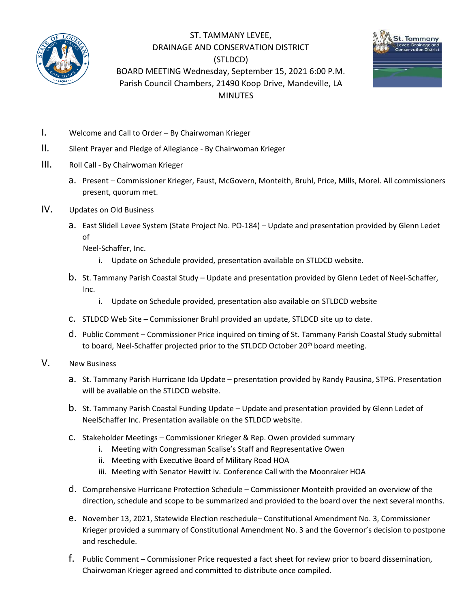

ST. TAMMANY LEVEE, DRAINAGE AND CONSERVATION DISTRICT (STLDCD) BOARD MEETING Wednesday, September 15, 2021 6:00 P.M. Parish Council Chambers, 21490 Koop Drive, Mandeville, LA MINUTES



- I. Welcome and Call to Order By Chairwoman Krieger
- II. Silent Prayer and Pledge of Allegiance By Chairwoman Krieger
- III. Roll Call By Chairwoman Krieger
	- a. Present Commissioner Krieger, Faust, McGovern, Monteith, Bruhl, Price, Mills, Morel. All commissioners present, quorum met.
- IV. Updates on Old Business
	- a. East Slidell Levee System (State Project No. PO-184) Update and presentation provided by Glenn Ledet of

Neel-Schaffer, Inc.

- i. Update on Schedule provided, presentation available on STLDCD website.
- b. St. Tammany Parish Coastal Study Update and presentation provided by Glenn Ledet of Neel-Schaffer, Inc.
	- i. Update on Schedule provided, presentation also available on STLDCD website
- c. STLDCD Web Site Commissioner Bruhl provided an update, STLDCD site up to date.
- d. Public Comment Commissioner Price inquired on timing of St. Tammany Parish Coastal Study submittal to board, Neel-Schaffer projected prior to the STLDCD October 20<sup>th</sup> board meeting.
- V. New Business
	- a. St. Tammany Parish Hurricane Ida Update presentation provided by Randy Pausina, STPG. Presentation will be available on the STLDCD website.
	- b. St. Tammany Parish Coastal Funding Update Update and presentation provided by Glenn Ledet of NeelSchaffer Inc. Presentation available on the STLDCD website.
	- c. Stakeholder Meetings Commissioner Krieger & Rep. Owen provided summary
		- i. Meeting with Congressman Scalise's Staff and Representative Owen
		- ii. Meeting with Executive Board of Military Road HOA
		- iii. Meeting with Senator Hewitt iv. Conference Call with the Moonraker HOA
	- d. Comprehensive Hurricane Protection Schedule Commissioner Monteith provided an overview of the direction, schedule and scope to be summarized and provided to the board over the next several months.
	- e. November 13, 2021, Statewide Election reschedule– Constitutional Amendment No. 3, Commissioner Krieger provided a summary of Constitutional Amendment No. 3 and the Governor's decision to postpone and reschedule.
	- f. Public Comment Commissioner Price requested a fact sheet for review prior to board dissemination, Chairwoman Krieger agreed and committed to distribute once compiled.